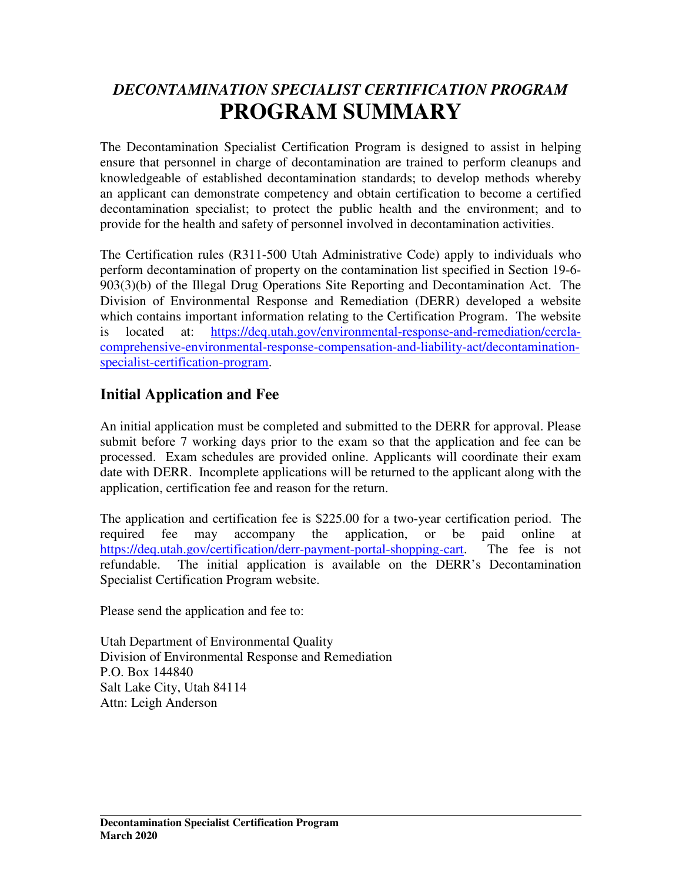# *DECONTAMINATION SPECIALIST CERTIFICATION PROGRAM*  **PROGRAM SUMMARY**

The Decontamination Specialist Certification Program is designed to assist in helping ensure that personnel in charge of decontamination are trained to perform cleanups and knowledgeable of established decontamination standards; to develop methods whereby an applicant can demonstrate competency and obtain certification to become a certified decontamination specialist; to protect the public health and the environment; and to provide for the health and safety of personnel involved in decontamination activities.

The Certification rules (R311-500 Utah Administrative Code) apply to individuals who perform decontamination of property on the contamination list specified in Section 19-6- 903(3)(b) of the Illegal Drug Operations Site Reporting and Decontamination Act. The Division of Environmental Response and Remediation (DERR) developed a website which contains important information relating to the Certification Program. The website is located at: https://deq.utah.gov/environmental-response-and-remediation/cerclacomprehensive-environmental-response-compensation-and-liability-act/decontaminationspecialist-certification-program.

#### **Initial Application and Fee**

An initial application must be completed and submitted to the DERR for approval. Please submit before 7 working days prior to the exam so that the application and fee can be processed. Exam schedules are provided online. Applicants will coordinate their exam date with DERR. Incomplete applications will be returned to the applicant along with the application, certification fee and reason for the return.

The application and certification fee is \$225.00 for a two-year certification period. The required fee may accompany the application, or be paid online at https://deq.utah.gov/certification/derr-payment-portal-shopping-cart. The fee is not refundable. The initial application is available on the DERR's Decontamination Specialist Certification Program website.

Please send the application and fee to:

Utah Department of Environmental Quality Division of Environmental Response and Remediation P.O. Box 144840 Salt Lake City, Utah 84114 Attn: Leigh Anderson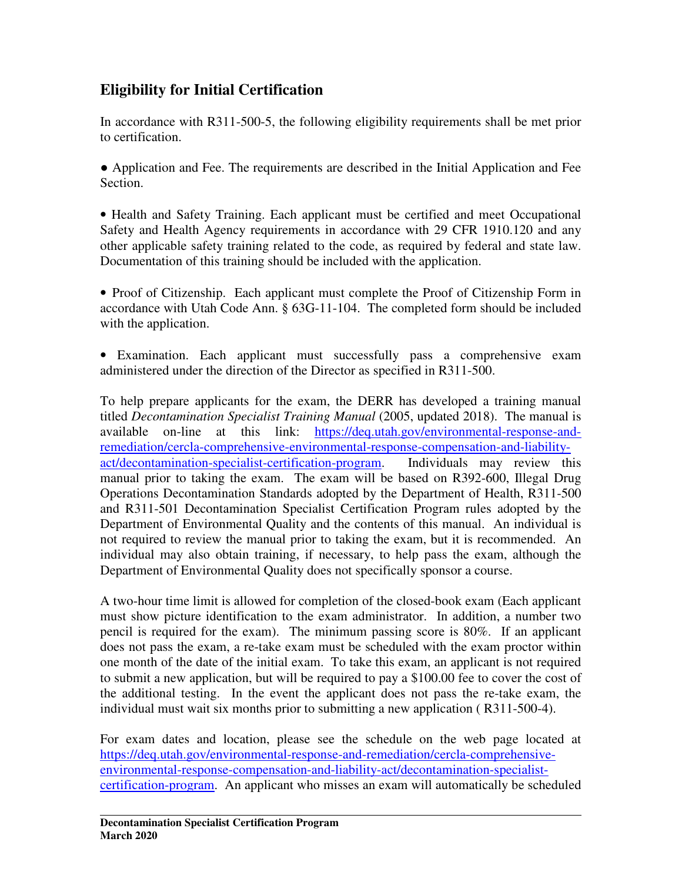#### **Eligibility for Initial Certification**

In accordance with R311-500-5, the following eligibility requirements shall be met prior to certification.

● Application and Fee. The requirements are described in the Initial Application and Fee Section.

• Health and Safety Training. Each applicant must be certified and meet Occupational Safety and Health Agency requirements in accordance with 29 CFR 1910.120 and any other applicable safety training related to the code, as required by federal and state law. Documentation of this training should be included with the application.

• Proof of Citizenship. Each applicant must complete the Proof of Citizenship Form in accordance with Utah Code Ann. § 63G-11-104. The completed form should be included with the application.

• Examination. Each applicant must successfully pass a comprehensive exam administered under the direction of the Director as specified in R311-500.

To help prepare applicants for the exam, the DERR has developed a training manual titled *Decontamination Specialist Training Manual* (2005, updated 2018). The manual is available on-line at this link: https://deq.utah.gov/environmental-response-andremediation/cercla-comprehensive-environmental-response-compensation-and-liabilityact/decontamination-specialist-certification-program. Individuals may review this manual prior to taking the exam. The exam will be based on R392-600, Illegal Drug Operations Decontamination Standards adopted by the Department of Health, R311-500 and R311-501 Decontamination Specialist Certification Program rules adopted by the Department of Environmental Quality and the contents of this manual. An individual is not required to review the manual prior to taking the exam, but it is recommended. An individual may also obtain training, if necessary, to help pass the exam, although the Department of Environmental Quality does not specifically sponsor a course.

A two-hour time limit is allowed for completion of the closed-book exam (Each applicant must show picture identification to the exam administrator. In addition, a number two pencil is required for the exam). The minimum passing score is 80%. If an applicant does not pass the exam, a re-take exam must be scheduled with the exam proctor within one month of the date of the initial exam. To take this exam, an applicant is not required to submit a new application, but will be required to pay a \$100.00 fee to cover the cost of the additional testing. In the event the applicant does not pass the re-take exam, the individual must wait six months prior to submitting a new application ( R311-500-4).

For exam dates and location, please see the schedule on the web page located at https://deq.utah.gov/environmental-response-and-remediation/cercla-comprehensiveenvironmental-response-compensation-and-liability-act/decontamination-specialistcertification-program. An applicant who misses an exam will automatically be scheduled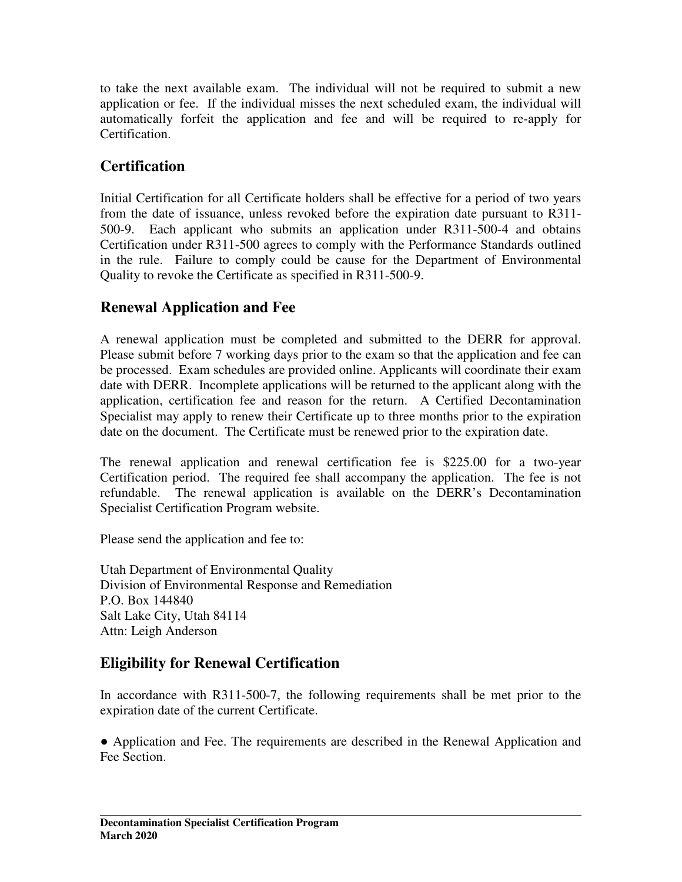to take the next available exam. The individual will not be required to submit a new application or fee. If the individual misses the next scheduled exam, the individual will automatically forfeit the application and fee and will be required to re-apply for Certification.

#### **Certification**

Initial Certification for all Certificate holders shall be effective for a period of two years from the date of issuance, unless revoked before the expiration date pursuant to R311- 500-9. Each applicant who submits an application under R311-500-4 and obtains Certification under R311-500 agrees to comply with the Performance Standards outlined in the rule. Failure to comply could be cause for the Department of Environmental Quality to revoke the Certificate as specified in R311-500-9.

#### **Renewal Application and Fee**

A renewal application must be completed and submitted to the DERR for approval. Please submit before 7 working days prior to the exam so that the application and fee can be processed. Exam schedules are provided online. Applicants will coordinate their exam date with DERR. Incomplete applications will be returned to the applicant along with the application, certification fee and reason for the return. A Certified Decontamination Specialist may apply to renew their Certificate up to three months prior to the expiration date on the document. The Certificate must be renewed prior to the expiration date.

The renewal application and renewal certification fee is \$225.00 for a two-year Certification period. The required fee shall accompany the application. The fee is not refundable. The renewal application is available on the DERR's Decontamination Specialist Certification Program website.

Please send the application and fee to:

Utah Department of Environmental Quality Division of Environmental Response and Remediation P.O. Box 144840 Salt Lake City, Utah 84114 Attn: Leigh Anderson

## **Eligibility for Renewal Certification**

In accordance with R311-500-7, the following requirements shall be met prior to the expiration date of the current Certificate.

● Application and Fee. The requirements are described in the Renewal Application and Fee Section.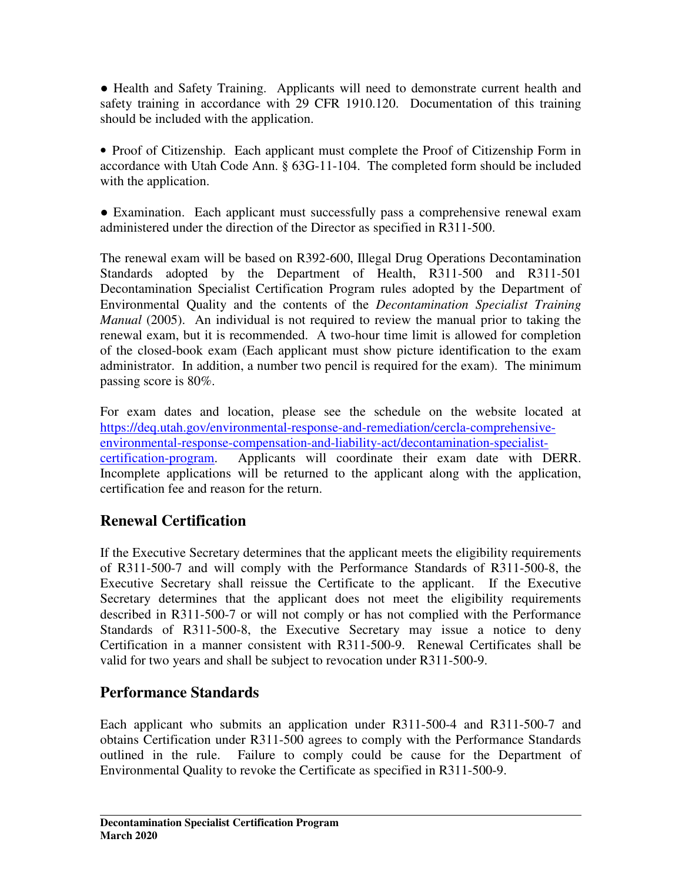• Health and Safety Training. Applicants will need to demonstrate current health and safety training in accordance with 29 CFR 1910.120. Documentation of this training should be included with the application.

• Proof of Citizenship. Each applicant must complete the Proof of Citizenship Form in accordance with Utah Code Ann. § 63G-11-104. The completed form should be included with the application.

• Examination. Each applicant must successfully pass a comprehensive renewal exam administered under the direction of the Director as specified in R311-500.

The renewal exam will be based on R392-600, Illegal Drug Operations Decontamination Standards adopted by the Department of Health, R311-500 and R311-501 Decontamination Specialist Certification Program rules adopted by the Department of Environmental Quality and the contents of the *Decontamination Specialist Training Manual* (2005). An individual is not required to review the manual prior to taking the renewal exam, but it is recommended. A two-hour time limit is allowed for completion of the closed-book exam (Each applicant must show picture identification to the exam administrator. In addition, a number two pencil is required for the exam). The minimum passing score is 80%.

For exam dates and location, please see the schedule on the website located at https://deq.utah.gov/environmental-response-and-remediation/cercla-comprehensiveenvironmental-response-compensation-and-liability-act/decontamination-specialistcertification-program. Applicants will coordinate their exam date with DERR. Incomplete applications will be returned to the applicant along with the application, certification fee and reason for the return.

#### **Renewal Certification**

If the Executive Secretary determines that the applicant meets the eligibility requirements of R311-500-7 and will comply with the Performance Standards of R311-500-8, the Executive Secretary shall reissue the Certificate to the applicant. If the Executive Secretary determines that the applicant does not meet the eligibility requirements described in R311-500-7 or will not comply or has not complied with the Performance Standards of R311-500-8, the Executive Secretary may issue a notice to deny Certification in a manner consistent with R311-500-9. Renewal Certificates shall be valid for two years and shall be subject to revocation under R311-500-9.

#### **Performance Standards**

Each applicant who submits an application under R311-500-4 and R311-500-7 and obtains Certification under R311-500 agrees to comply with the Performance Standards outlined in the rule. Failure to comply could be cause for the Department of Environmental Quality to revoke the Certificate as specified in R311-500-9.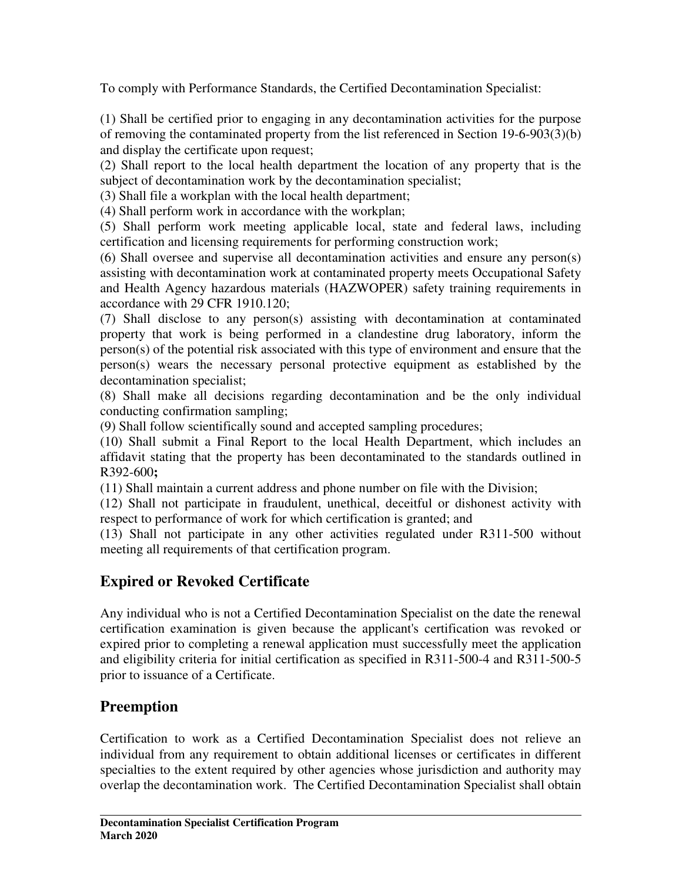To comply with Performance Standards, the Certified Decontamination Specialist:

(1) Shall be certified prior to engaging in any decontamination activities for the purpose of removing the contaminated property from the list referenced in Section 19-6-903(3)(b) and display the certificate upon request;

(2) Shall report to the local health department the location of any property that is the subject of decontamination work by the decontamination specialist;

(3) Shall file a workplan with the local health department;

(4) Shall perform work in accordance with the workplan;

(5) Shall perform work meeting applicable local, state and federal laws, including certification and licensing requirements for performing construction work;

(6) Shall oversee and supervise all decontamination activities and ensure any person(s) assisting with decontamination work at contaminated property meets Occupational Safety and Health Agency hazardous materials (HAZWOPER) safety training requirements in accordance with 29 CFR 1910.120;

(7) Shall disclose to any person(s) assisting with decontamination at contaminated property that work is being performed in a clandestine drug laboratory, inform the person(s) of the potential risk associated with this type of environment and ensure that the person(s) wears the necessary personal protective equipment as established by the decontamination specialist;

(8) Shall make all decisions regarding decontamination and be the only individual conducting confirmation sampling;

(9) Shall follow scientifically sound and accepted sampling procedures;

(10) Shall submit a Final Report to the local Health Department, which includes an affidavit stating that the property has been decontaminated to the standards outlined in R392-600**;** 

(11) Shall maintain a current address and phone number on file with the Division;

(12) Shall not participate in fraudulent, unethical, deceitful or dishonest activity with respect to performance of work for which certification is granted; and

(13) Shall not participate in any other activities regulated under R311-500 without meeting all requirements of that certification program.

# **Expired or Revoked Certificate**

Any individual who is not a Certified Decontamination Specialist on the date the renewal certification examination is given because the applicant's certification was revoked or expired prior to completing a renewal application must successfully meet the application and eligibility criteria for initial certification as specified in R311-500-4 and R311-500-5 prior to issuance of a Certificate.

## **Preemption**

Certification to work as a Certified Decontamination Specialist does not relieve an individual from any requirement to obtain additional licenses or certificates in different specialties to the extent required by other agencies whose jurisdiction and authority may overlap the decontamination work. The Certified Decontamination Specialist shall obtain